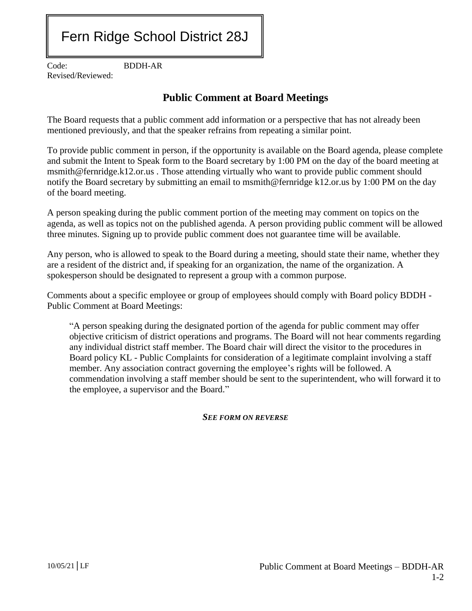## Fern Ridge School District 28J

Code: BDDH-AR Revised/Reviewed:

## **Public Comment at Board Meetings**

The Board requests that a public comment add information or a perspective that has not already been mentioned previously, and that the speaker refrains from repeating a similar point.

To provide public comment in person, if the opportunity is available on the Board agenda, please complete and submit the Intent to Speak form to the Board secretary by 1:00 PM on the day of the board meeting at msmith@fernridge.k12.or.us . Those attending virtually who want to provide public comment should notify the Board secretary by submitting an email to msmith@fernridge k12.or.us by 1:00 PM on the day of the board meeting.

A person speaking during the public comment portion of the meeting may comment on topics on the agenda, as well as topics not on the published agenda. A person providing public comment will be allowed three minutes. Signing up to provide public comment does not guarantee time will be available.

Any person, who is allowed to speak to the Board during a meeting, should state their name, whether they are a resident of the district and, if speaking for an organization, the name of the organization. A spokesperson should be designated to represent a group with a common purpose.

Comments about a specific employee or group of employees should comply with Board policy BDDH - Public Comment at Board Meetings:

"A person speaking during the designated portion of the agenda for public comment may offer objective criticism of district operations and programs. The Board will not hear comments regarding any individual district staff member. The Board chair will direct the visitor to the procedures in Board policy KL - Public Complaints for consideration of a legitimate complaint involving a staff member. Any association contract governing the employee's rights will be followed. A commendation involving a staff member should be sent to the superintendent, who will forward it to the employee, a supervisor and the Board."

*SEE FORM ON REVERSE*